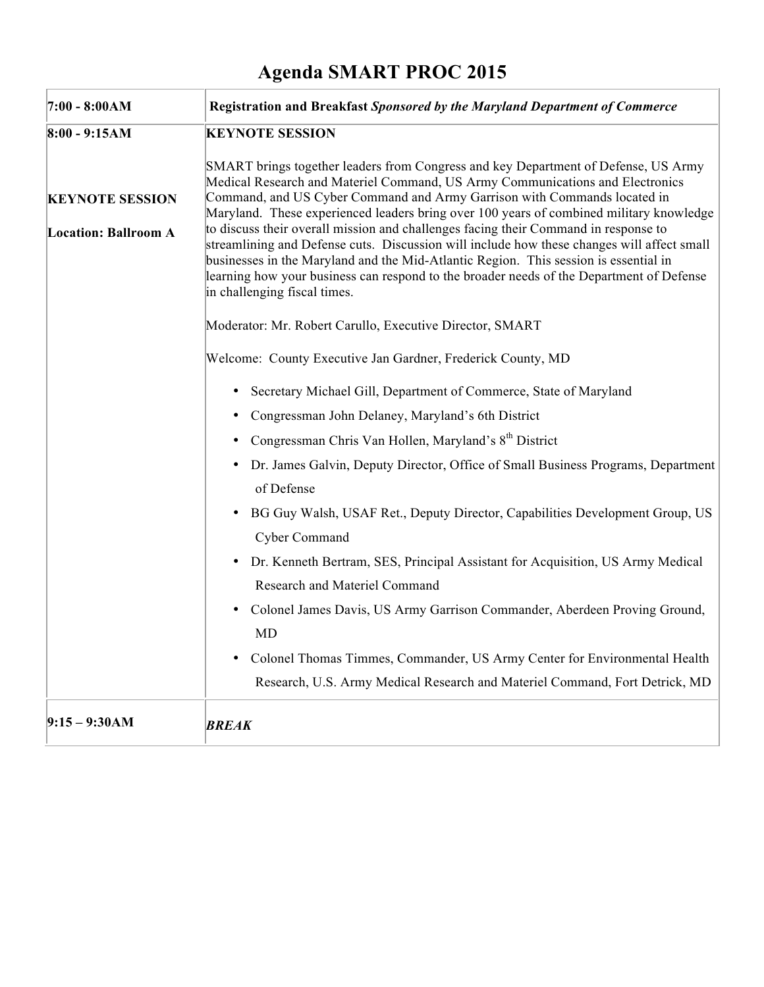## **Agenda SMART PROC 2015**

| $7:00 - 8:00AM$             | Registration and Breakfast Sponsored by the Maryland Department of Commerce                                                                                                                                                                                                                                                                                                                                                                                                                      |
|-----------------------------|--------------------------------------------------------------------------------------------------------------------------------------------------------------------------------------------------------------------------------------------------------------------------------------------------------------------------------------------------------------------------------------------------------------------------------------------------------------------------------------------------|
| $8:00 - 9:15AM$             | <b>KEYNOTE SESSION</b>                                                                                                                                                                                                                                                                                                                                                                                                                                                                           |
| <b>KEYNOTE SESSION</b>      | SMART brings together leaders from Congress and key Department of Defense, US Army<br>Medical Research and Materiel Command, US Army Communications and Electronics<br>Command, and US Cyber Command and Army Garrison with Commands located in                                                                                                                                                                                                                                                  |
| <b>Location: Ballroom A</b> | Maryland. These experienced leaders bring over 100 years of combined military knowledge<br>to discuss their overall mission and challenges facing their Command in response to<br>streamlining and Defense cuts. Discussion will include how these changes will affect small<br>businesses in the Maryland and the Mid-Atlantic Region. This session is essential in<br>learning how your business can respond to the broader needs of the Department of Defense<br>in challenging fiscal times. |
|                             | Moderator: Mr. Robert Carullo, Executive Director, SMART                                                                                                                                                                                                                                                                                                                                                                                                                                         |
|                             | Welcome: County Executive Jan Gardner, Frederick County, MD                                                                                                                                                                                                                                                                                                                                                                                                                                      |
|                             | Secretary Michael Gill, Department of Commerce, State of Maryland<br>٠                                                                                                                                                                                                                                                                                                                                                                                                                           |
|                             | • Congressman John Delaney, Maryland's 6th District                                                                                                                                                                                                                                                                                                                                                                                                                                              |
|                             | • Congressman Chris Van Hollen, Maryland's 8 <sup>th</sup> District                                                                                                                                                                                                                                                                                                                                                                                                                              |
|                             | • Dr. James Galvin, Deputy Director, Office of Small Business Programs, Department<br>of Defense                                                                                                                                                                                                                                                                                                                                                                                                 |
|                             | BG Guy Walsh, USAF Ret., Deputy Director, Capabilities Development Group, US<br>٠<br>Cyber Command                                                                                                                                                                                                                                                                                                                                                                                               |
|                             | Dr. Kenneth Bertram, SES, Principal Assistant for Acquisition, US Army Medical<br>٠<br><b>Research and Materiel Command</b>                                                                                                                                                                                                                                                                                                                                                                      |
|                             | Colonel James Davis, US Army Garrison Commander, Aberdeen Proving Ground,<br>٠<br><b>MD</b>                                                                                                                                                                                                                                                                                                                                                                                                      |
|                             | Colonel Thomas Timmes, Commander, US Army Center for Environmental Health<br>Research, U.S. Army Medical Research and Materiel Command, Fort Detrick, MD                                                                                                                                                                                                                                                                                                                                         |
| $9:15 - 9:30AM$             | <b>BREAK</b>                                                                                                                                                                                                                                                                                                                                                                                                                                                                                     |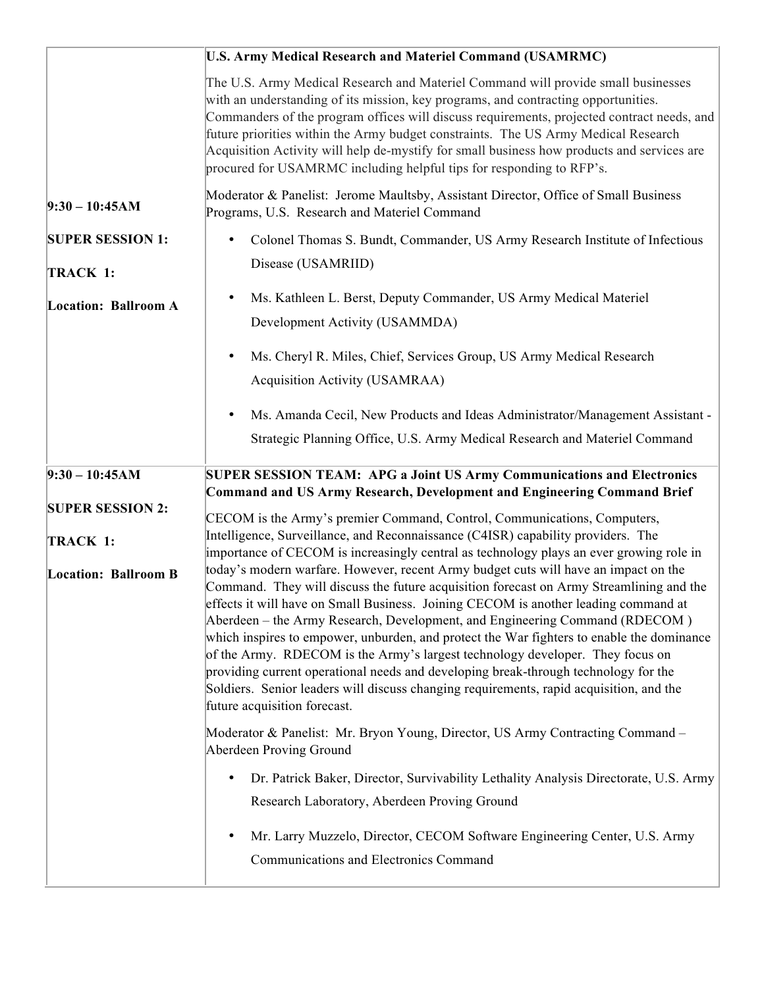|                             | <b>U.S. Army Medical Research and Materiel Command (USAMRMC)</b>                                                                                                                                                                                                                                                                                                                                                                                                                                                                                                                                                                                              |
|-----------------------------|---------------------------------------------------------------------------------------------------------------------------------------------------------------------------------------------------------------------------------------------------------------------------------------------------------------------------------------------------------------------------------------------------------------------------------------------------------------------------------------------------------------------------------------------------------------------------------------------------------------------------------------------------------------|
|                             | The U.S. Army Medical Research and Materiel Command will provide small businesses<br>with an understanding of its mission, key programs, and contracting opportunities.<br>Commanders of the program offices will discuss requirements, projected contract needs, and<br>future priorities within the Army budget constraints. The US Army Medical Research<br>Acquisition Activity will help de-mystify for small business how products and services are<br>procured for USAMRMC including helpful tips for responding to RFP's.                                                                                                                             |
| $9:30 - 10:45AM$            | Moderator & Panelist: Jerome Maultsby, Assistant Director, Office of Small Business<br>Programs, U.S. Research and Materiel Command                                                                                                                                                                                                                                                                                                                                                                                                                                                                                                                           |
| <b>SUPER SESSION 1:</b>     | Colonel Thomas S. Bundt, Commander, US Army Research Institute of Infectious<br>$\bullet$                                                                                                                                                                                                                                                                                                                                                                                                                                                                                                                                                                     |
| TRACK 1:                    | Disease (USAMRIID)                                                                                                                                                                                                                                                                                                                                                                                                                                                                                                                                                                                                                                            |
| <b>Location: Ballroom A</b> | Ms. Kathleen L. Berst, Deputy Commander, US Army Medical Materiel                                                                                                                                                                                                                                                                                                                                                                                                                                                                                                                                                                                             |
|                             | Development Activity (USAMMDA)                                                                                                                                                                                                                                                                                                                                                                                                                                                                                                                                                                                                                                |
|                             | Ms. Cheryl R. Miles, Chief, Services Group, US Army Medical Research<br>٠                                                                                                                                                                                                                                                                                                                                                                                                                                                                                                                                                                                     |
|                             | Acquisition Activity (USAMRAA)                                                                                                                                                                                                                                                                                                                                                                                                                                                                                                                                                                                                                                |
|                             | Ms. Amanda Cecil, New Products and Ideas Administrator/Management Assistant -<br>$\bullet$                                                                                                                                                                                                                                                                                                                                                                                                                                                                                                                                                                    |
|                             | Strategic Planning Office, U.S. Army Medical Research and Materiel Command                                                                                                                                                                                                                                                                                                                                                                                                                                                                                                                                                                                    |
|                             |                                                                                                                                                                                                                                                                                                                                                                                                                                                                                                                                                                                                                                                               |
|                             |                                                                                                                                                                                                                                                                                                                                                                                                                                                                                                                                                                                                                                                               |
| $9:30 - 10:45AM$            | <b>SUPER SESSION TEAM: APG a Joint US Army Communications and Electronics</b>                                                                                                                                                                                                                                                                                                                                                                                                                                                                                                                                                                                 |
| <b>SUPER SESSION 2:</b>     | <b>Command and US Army Research, Development and Engineering Command Brief</b>                                                                                                                                                                                                                                                                                                                                                                                                                                                                                                                                                                                |
| TRACK 1:                    | CECOM is the Army's premier Command, Control, Communications, Computers,<br>Intelligence, Surveillance, and Reconnaissance (C4ISR) capability providers. The                                                                                                                                                                                                                                                                                                                                                                                                                                                                                                  |
|                             | importance of CECOM is increasingly central as technology plays an ever growing role in<br>today's modern warfare. However, recent Army budget cuts will have an impact on the                                                                                                                                                                                                                                                                                                                                                                                                                                                                                |
| <b>Location: Ballroom B</b> | Command. They will discuss the future acquisition forecast on Army Streamlining and the<br>effects it will have on Small Business. Joining CECOM is another leading command at<br>Aberdeen – the Army Research, Development, and Engineering Command (RDECOM)<br>which inspires to empower, unburden, and protect the War fighters to enable the dominance<br>of the Army. RDECOM is the Army's largest technology developer. They focus on<br>providing current operational needs and developing break-through technology for the<br>Soldiers. Senior leaders will discuss changing requirements, rapid acquisition, and the<br>future acquisition forecast. |
|                             | Moderator & Panelist: Mr. Bryon Young, Director, US Army Contracting Command -<br>Aberdeen Proving Ground                                                                                                                                                                                                                                                                                                                                                                                                                                                                                                                                                     |
|                             | Dr. Patrick Baker, Director, Survivability Lethality Analysis Directorate, U.S. Army<br>$\bullet$                                                                                                                                                                                                                                                                                                                                                                                                                                                                                                                                                             |
|                             | Research Laboratory, Aberdeen Proving Ground                                                                                                                                                                                                                                                                                                                                                                                                                                                                                                                                                                                                                  |
|                             | Mr. Larry Muzzelo, Director, CECOM Software Engineering Center, U.S. Army<br>$\bullet$                                                                                                                                                                                                                                                                                                                                                                                                                                                                                                                                                                        |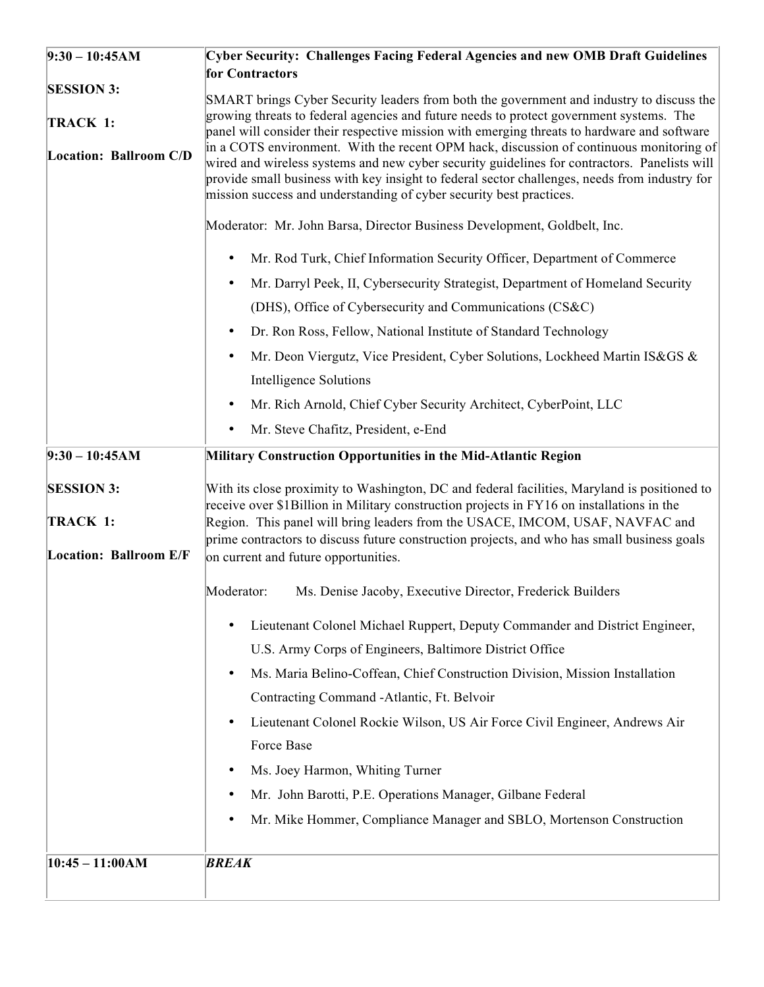| $9:30 - 10:45AM$                   | <b>Cyber Security: Challenges Facing Federal Agencies and new OMB Draft Guidelines</b>                                                                                                                                                                                                                                                                          |  |
|------------------------------------|-----------------------------------------------------------------------------------------------------------------------------------------------------------------------------------------------------------------------------------------------------------------------------------------------------------------------------------------------------------------|--|
|                                    | for Contractors                                                                                                                                                                                                                                                                                                                                                 |  |
| <b>SESSION 3:</b><br>TRACK 1:      | SMART brings Cyber Security leaders from both the government and industry to discuss the<br>growing threats to federal agencies and future needs to protect government systems. The<br>panel will consider their respective mission with emerging threats to hardware and software                                                                              |  |
| Location: Ballroom C/D             | in a COTS environment. With the recent OPM hack, discussion of continuous monitoring of<br>wired and wireless systems and new cyber security guidelines for contractors. Panelists will<br>provide small business with key insight to federal sector challenges, needs from industry for<br>mission success and understanding of cyber security best practices. |  |
|                                    | Moderator: Mr. John Barsa, Director Business Development, Goldbelt, Inc.                                                                                                                                                                                                                                                                                        |  |
|                                    | Mr. Rod Turk, Chief Information Security Officer, Department of Commerce<br>$\bullet$                                                                                                                                                                                                                                                                           |  |
|                                    | Mr. Darryl Peek, II, Cybersecurity Strategist, Department of Homeland Security                                                                                                                                                                                                                                                                                  |  |
|                                    | (DHS), Office of Cybersecurity and Communications (CS&C)                                                                                                                                                                                                                                                                                                        |  |
|                                    | Dr. Ron Ross, Fellow, National Institute of Standard Technology<br>$\bullet$                                                                                                                                                                                                                                                                                    |  |
|                                    | Mr. Deon Viergutz, Vice President, Cyber Solutions, Lockheed Martin IS&GS &                                                                                                                                                                                                                                                                                     |  |
|                                    | Intelligence Solutions                                                                                                                                                                                                                                                                                                                                          |  |
|                                    | Mr. Rich Arnold, Chief Cyber Security Architect, CyberPoint, LLC                                                                                                                                                                                                                                                                                                |  |
|                                    | Mr. Steve Chafitz, President, e-End                                                                                                                                                                                                                                                                                                                             |  |
| $9:30 - 10:45AM$                   | Military Construction Opportunities in the Mid-Atlantic Region                                                                                                                                                                                                                                                                                                  |  |
| <b>SESSION 3:</b>                  | With its close proximity to Washington, DC and federal facilities, Maryland is positioned to<br>receive over \$1Billion in Military construction projects in FY16 on installations in the                                                                                                                                                                       |  |
| TRACK 1:<br>Location: Ballroom E/F | Region. This panel will bring leaders from the USACE, IMCOM, USAF, NAVFAC and<br>prime contractors to discuss future construction projects, and who has small business goals<br>on current and future opportunities.                                                                                                                                            |  |
|                                    | Moderator:<br>Ms. Denise Jacoby, Executive Director, Frederick Builders                                                                                                                                                                                                                                                                                         |  |
|                                    | Lieutenant Colonel Michael Ruppert, Deputy Commander and District Engineer,<br>U.S. Army Corps of Engineers, Baltimore District Office                                                                                                                                                                                                                          |  |
|                                    | Ms. Maria Belino-Coffean, Chief Construction Division, Mission Installation<br>$\bullet$                                                                                                                                                                                                                                                                        |  |
|                                    | Contracting Command -Atlantic, Ft. Belvoir                                                                                                                                                                                                                                                                                                                      |  |
|                                    | Lieutenant Colonel Rockie Wilson, US Air Force Civil Engineer, Andrews Air<br>$\bullet$                                                                                                                                                                                                                                                                         |  |
|                                    | Force Base                                                                                                                                                                                                                                                                                                                                                      |  |
|                                    | Ms. Joey Harmon, Whiting Turner<br>$\bullet$                                                                                                                                                                                                                                                                                                                    |  |
|                                    | Mr. John Barotti, P.E. Operations Manager, Gilbane Federal                                                                                                                                                                                                                                                                                                      |  |
|                                    | Mr. Mike Hommer, Compliance Manager and SBLO, Mortenson Construction                                                                                                                                                                                                                                                                                            |  |
| $10:45 - 11:00AM$                  | <b>BREAK</b>                                                                                                                                                                                                                                                                                                                                                    |  |
|                                    |                                                                                                                                                                                                                                                                                                                                                                 |  |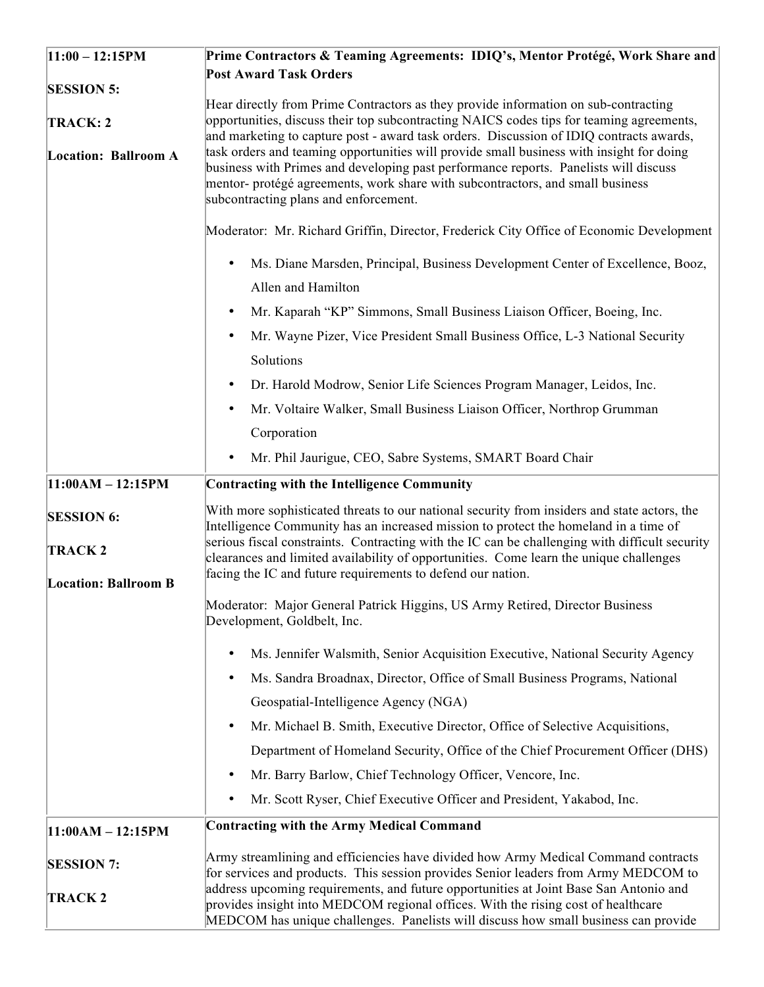| $11:00 - 12:15PM$                            | Prime Contractors & Teaming Agreements: IDIQ's, Mentor Protégé, Work Share and                                                                                                                                                                                                         |
|----------------------------------------------|----------------------------------------------------------------------------------------------------------------------------------------------------------------------------------------------------------------------------------------------------------------------------------------|
|                                              | <b>Post Award Task Orders</b>                                                                                                                                                                                                                                                          |
| <b>SESSION 5:</b><br>TRACK: 2                | Hear directly from Prime Contractors as they provide information on sub-contracting<br>opportunities, discuss their top subcontracting NAICS codes tips for teaming agreements,                                                                                                        |
| Location: Ballroom A                         | and marketing to capture post - award task orders. Discussion of IDIQ contracts awards,<br>task orders and teaming opportunities will provide small business with insight for doing                                                                                                    |
|                                              | business with Primes and developing past performance reports. Panelists will discuss<br>mentor- protégé agreements, work share with subcontractors, and small business<br>subcontracting plans and enforcement.                                                                        |
|                                              | Moderator: Mr. Richard Griffin, Director, Frederick City Office of Economic Development                                                                                                                                                                                                |
|                                              | Ms. Diane Marsden, Principal, Business Development Center of Excellence, Booz,<br>$\bullet$<br>Allen and Hamilton                                                                                                                                                                      |
|                                              | Mr. Kaparah "KP" Simmons, Small Business Liaison Officer, Boeing, Inc.<br>$\bullet$                                                                                                                                                                                                    |
|                                              | Mr. Wayne Pizer, Vice President Small Business Office, L-3 National Security<br>$\bullet$                                                                                                                                                                                              |
|                                              | Solutions                                                                                                                                                                                                                                                                              |
|                                              | Dr. Harold Modrow, Senior Life Sciences Program Manager, Leidos, Inc.<br>$\bullet$                                                                                                                                                                                                     |
|                                              | Mr. Voltaire Walker, Small Business Liaison Officer, Northrop Grumman<br>$\bullet$                                                                                                                                                                                                     |
|                                              | Corporation                                                                                                                                                                                                                                                                            |
|                                              | Mr. Phil Jaurigue, CEO, Sabre Systems, SMART Board Chair<br>$\bullet$                                                                                                                                                                                                                  |
| $11:00AM - 12:15PM$                          | <b>Contracting with the Intelligence Community</b>                                                                                                                                                                                                                                     |
| <b>SESSION 6:</b>                            | With more sophisticated threats to our national security from insiders and state actors, the<br>Intelligence Community has an increased mission to protect the homeland in a time of<br>serious fiscal constraints. Contracting with the IC can be challenging with difficult security |
| <b>TRACK2</b><br><b>Location: Ballroom B</b> | clearances and limited availability of opportunities. Come learn the unique challenges<br>facing the IC and future requirements to defend our nation.                                                                                                                                  |
|                                              | Moderator: Major General Patrick Higgins, US Army Retired, Director Business<br>Development, Goldbelt, Inc.                                                                                                                                                                            |
|                                              | Ms. Jennifer Walsmith, Senior Acquisition Executive, National Security Agency<br>$\bullet$                                                                                                                                                                                             |
|                                              | Ms. Sandra Broadnax, Director, Office of Small Business Programs, National<br>$\bullet$                                                                                                                                                                                                |
|                                              | Geospatial-Intelligence Agency (NGA)                                                                                                                                                                                                                                                   |
|                                              | Mr. Michael B. Smith, Executive Director, Office of Selective Acquisitions,<br>$\bullet$                                                                                                                                                                                               |
|                                              | Department of Homeland Security, Office of the Chief Procurement Officer (DHS)                                                                                                                                                                                                         |
|                                              | Mr. Barry Barlow, Chief Technology Officer, Vencore, Inc.<br>$\bullet$                                                                                                                                                                                                                 |
|                                              | Mr. Scott Ryser, Chief Executive Officer and President, Yakabod, Inc.<br>$\bullet$                                                                                                                                                                                                     |
| $11:00AM - 12:15PM$                          | <b>Contracting with the Army Medical Command</b>                                                                                                                                                                                                                                       |
|                                              |                                                                                                                                                                                                                                                                                        |
| <b>SESSION 7:</b>                            | Army streamlining and efficiencies have divided how Army Medical Command contracts<br>for services and products. This session provides Senior leaders from Army MEDCOM to<br>address upcoming requirements, and future opportunities at Joint Base San Antonio and                     |
| <b>TRACK2</b>                                | provides insight into MEDCOM regional offices. With the rising cost of healthcare<br>MEDCOM has unique challenges. Panelists will discuss how small business can provide                                                                                                               |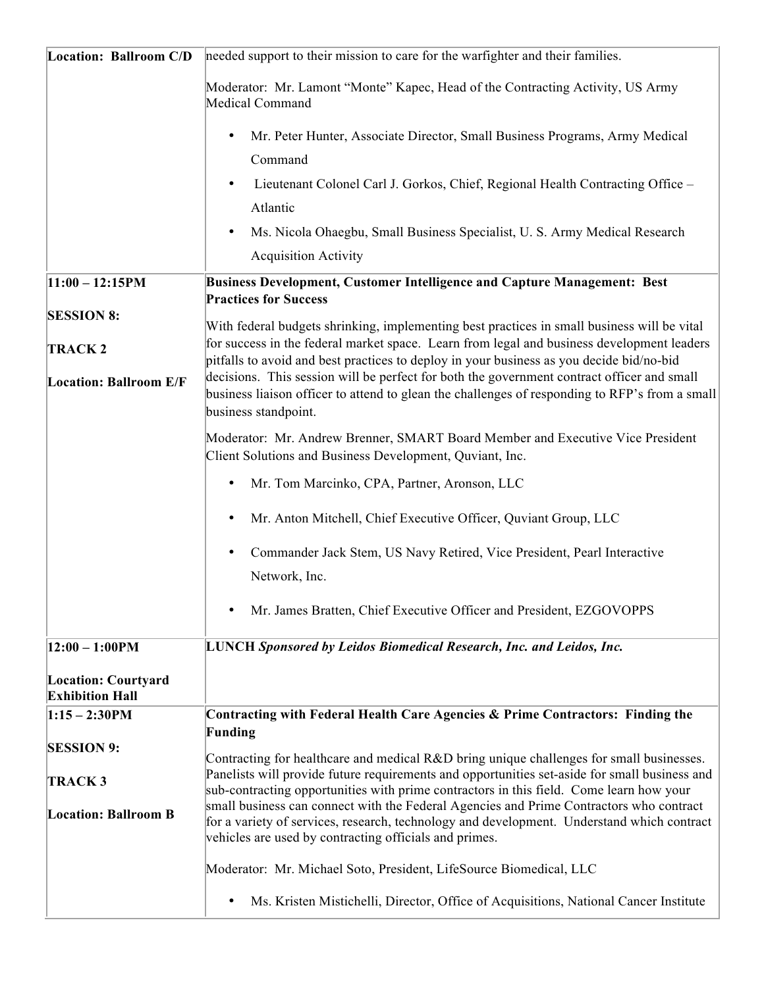| <b>Location: Ballroom C/D</b>                        | needed support to their mission to care for the warfighter and their families.                                                                                                                                                                  |
|------------------------------------------------------|-------------------------------------------------------------------------------------------------------------------------------------------------------------------------------------------------------------------------------------------------|
|                                                      | Moderator: Mr. Lamont "Monte" Kapec, Head of the Contracting Activity, US Army<br>Medical Command                                                                                                                                               |
|                                                      | Mr. Peter Hunter, Associate Director, Small Business Programs, Army Medical<br>$\bullet$<br>Command                                                                                                                                             |
|                                                      | Lieutenant Colonel Carl J. Gorkos, Chief, Regional Health Contracting Office -<br>$\bullet$                                                                                                                                                     |
|                                                      | Atlantic                                                                                                                                                                                                                                        |
|                                                      | Ms. Nicola Ohaegbu, Small Business Specialist, U. S. Army Medical Research<br>$\bullet$                                                                                                                                                         |
|                                                      | <b>Acquisition Activity</b>                                                                                                                                                                                                                     |
| $11:00 - 12:15PM$                                    | Business Development, Customer Intelligence and Capture Management: Best<br><b>Practices for Success</b>                                                                                                                                        |
| <b>SESSION 8:</b>                                    | With federal budgets shrinking, implementing best practices in small business will be vital                                                                                                                                                     |
| <b>TRACK2</b>                                        | for success in the federal market space. Learn from legal and business development leaders<br>pitfalls to avoid and best practices to deploy in your business as you decide bid/no-bid                                                          |
| <b>Location: Ballroom E/F</b>                        | decisions. This session will be perfect for both the government contract officer and small<br>business liaison officer to attend to glean the challenges of responding to RFP's from a small<br>business standpoint.                            |
|                                                      | Moderator: Mr. Andrew Brenner, SMART Board Member and Executive Vice President<br>Client Solutions and Business Development, Quviant, Inc.                                                                                                      |
|                                                      | Mr. Tom Marcinko, CPA, Partner, Aronson, LLC<br>$\bullet$                                                                                                                                                                                       |
|                                                      | Mr. Anton Mitchell, Chief Executive Officer, Quviant Group, LLC                                                                                                                                                                                 |
|                                                      | Commander Jack Stem, US Navy Retired, Vice President, Pearl Interactive<br>Network, Inc.                                                                                                                                                        |
|                                                      | Mr. James Bratten, Chief Executive Officer and President, EZGOVOPPS<br>$\bullet$                                                                                                                                                                |
| $ 12:00 - 1:00$ PM                                   | <b>LUNCH Sponsored by Leidos Biomedical Research, Inc. and Leidos, Inc.</b>                                                                                                                                                                     |
| <b>Location: Courtyard</b><br><b>Exhibition Hall</b> |                                                                                                                                                                                                                                                 |
| $1:15 - 2:30$ PM                                     | Contracting with Federal Health Care Agencies & Prime Contractors: Finding the                                                                                                                                                                  |
| <b>SESSION 9:</b>                                    | Funding<br>Contracting for healthcare and medical R&D bring unique challenges for small businesses.                                                                                                                                             |
| <b>TRACK3</b>                                        | Panelists will provide future requirements and opportunities set-aside for small business and<br>sub-contracting opportunities with prime contractors in this field. Come learn how your                                                        |
| <b>Location: Ballroom B</b>                          | small business can connect with the Federal Agencies and Prime Contractors who contract<br>for a variety of services, research, technology and development. Understand which contract<br>vehicles are used by contracting officials and primes. |
|                                                      | Moderator: Mr. Michael Soto, President, LifeSource Biomedical, LLC                                                                                                                                                                              |
|                                                      | Ms. Kristen Mistichelli, Director, Office of Acquisitions, National Cancer Institute<br>$\bullet$                                                                                                                                               |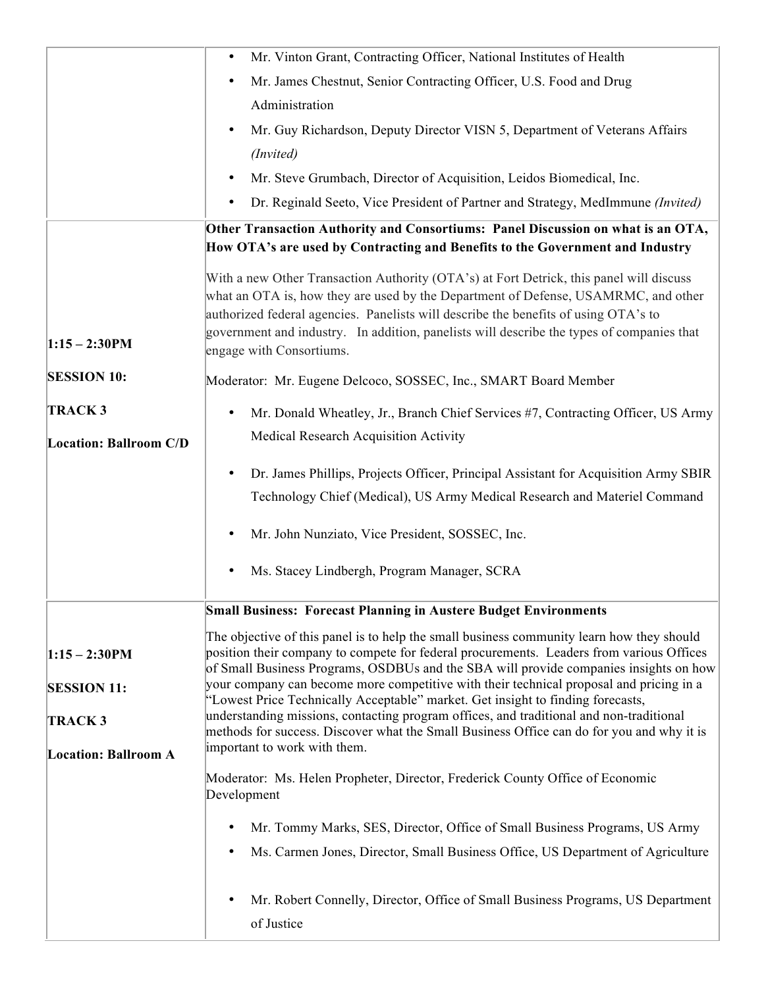|                               | Mr. Vinton Grant, Contracting Officer, National Institutes of Health<br>$\bullet$                                                                                                                                                                                                                                                                                 |
|-------------------------------|-------------------------------------------------------------------------------------------------------------------------------------------------------------------------------------------------------------------------------------------------------------------------------------------------------------------------------------------------------------------|
|                               | Mr. James Chestnut, Senior Contracting Officer, U.S. Food and Drug                                                                                                                                                                                                                                                                                                |
|                               | Administration                                                                                                                                                                                                                                                                                                                                                    |
|                               | Mr. Guy Richardson, Deputy Director VISN 5, Department of Veterans Affairs                                                                                                                                                                                                                                                                                        |
|                               | (Invited)                                                                                                                                                                                                                                                                                                                                                         |
|                               | Mr. Steve Grumbach, Director of Acquisition, Leidos Biomedical, Inc.                                                                                                                                                                                                                                                                                              |
|                               | Dr. Reginald Seeto, Vice President of Partner and Strategy, MedImmune (Invited)<br>$\bullet$                                                                                                                                                                                                                                                                      |
|                               | Other Transaction Authority and Consortiums: Panel Discussion on what is an OTA,                                                                                                                                                                                                                                                                                  |
|                               | How OTA's are used by Contracting and Benefits to the Government and Industry                                                                                                                                                                                                                                                                                     |
|                               | With a new Other Transaction Authority (OTA's) at Fort Detrick, this panel will discuss<br>what an OTA is, how they are used by the Department of Defense, USAMRMC, and other<br>authorized federal agencies. Panelists will describe the benefits of using OTA's to<br>government and industry. In addition, panelists will describe the types of companies that |
| $1:15 - 2:30$ PM              | engage with Consortiums.                                                                                                                                                                                                                                                                                                                                          |
| <b>SESSION 10:</b>            | Moderator: Mr. Eugene Delcoco, SOSSEC, Inc., SMART Board Member                                                                                                                                                                                                                                                                                                   |
| <b>TRACK3</b>                 | Mr. Donald Wheatley, Jr., Branch Chief Services #7, Contracting Officer, US Army<br>$\bullet$                                                                                                                                                                                                                                                                     |
| <b>Location: Ballroom C/D</b> | Medical Research Acquisition Activity                                                                                                                                                                                                                                                                                                                             |
|                               | Dr. James Phillips, Projects Officer, Principal Assistant for Acquisition Army SBIR<br>$\bullet$                                                                                                                                                                                                                                                                  |
|                               | Technology Chief (Medical), US Army Medical Research and Materiel Command                                                                                                                                                                                                                                                                                         |
|                               | Mr. John Nunziato, Vice President, SOSSEC, Inc.                                                                                                                                                                                                                                                                                                                   |
|                               | Ms. Stacey Lindbergh, Program Manager, SCRA                                                                                                                                                                                                                                                                                                                       |
|                               | <b>Small Business: Forecast Planning in Austere Budget Environments</b>                                                                                                                                                                                                                                                                                           |
| $1:15 - 2:30$ PM              | The objective of this panel is to help the small business community learn how they should<br>position their company to compete for federal procurements. Leaders from various Offices<br>of Small Business Programs, OSDBUs and the SBA will provide companies insights on how                                                                                    |
| <b>SESSION 11:</b>            | your company can become more competitive with their technical proposal and pricing in a<br>"Lowest Price Technically Acceptable" market. Get insight to finding forecasts,                                                                                                                                                                                        |
| <b>TRACK3</b>                 | understanding missions, contacting program offices, and traditional and non-traditional<br>methods for success. Discover what the Small Business Office can do for you and why it is                                                                                                                                                                              |
| <b>Location: Ballroom A</b>   | important to work with them.                                                                                                                                                                                                                                                                                                                                      |
|                               | Moderator: Ms. Helen Propheter, Director, Frederick County Office of Economic<br>Development                                                                                                                                                                                                                                                                      |
|                               | Mr. Tommy Marks, SES, Director, Office of Small Business Programs, US Army                                                                                                                                                                                                                                                                                        |
|                               | Ms. Carmen Jones, Director, Small Business Office, US Department of Agriculture<br>$\bullet$                                                                                                                                                                                                                                                                      |
|                               | Mr. Robert Connelly, Director, Office of Small Business Programs, US Department                                                                                                                                                                                                                                                                                   |
|                               | of Justice                                                                                                                                                                                                                                                                                                                                                        |